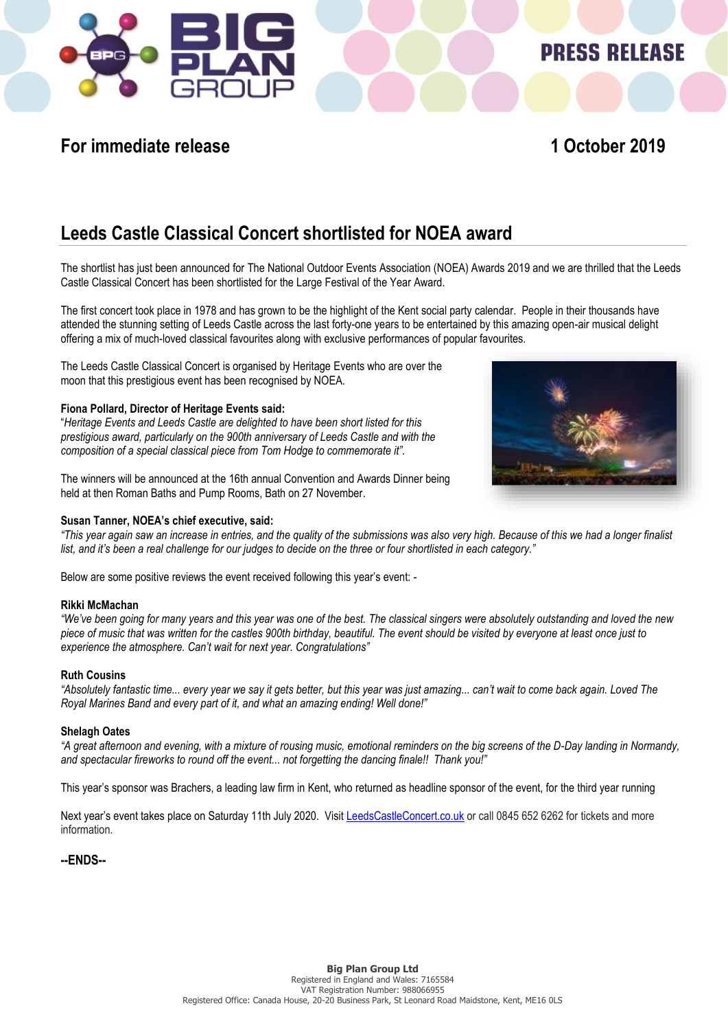

## **For immediate release 1 October 2019**

**PRESS RELEASE** 

# **Leeds Castle Classical Concert shortlisted for NOEA award**

The shortlist has just been announced for The National Outdoor Events Association (NOEA) Awards 2019 and we are thrilled that the Leeds Castle Classical Concert has been shortlisted for the Large Festival of the Year Award.

The first concert took place in 1978 and has grown to be the highlight of the Kent social party calendar. People in their thousands have attended the stunning setting of Leeds Castle across the last forty-one years to be entertained by this amazing open-air musical delight offering a mix of much-loved classical favourites along with exclusive performances of popular favourites.

The Leeds Castle Classical Concert is organised by Heritage Events who are over the moon that this prestigious event has been recognised by NOEA.

#### **Fiona Pollard, Director of Heritage Events said:**

"*Heritage Events and Leeds Castle are delighted to have been short listed for this prestigious award, particularly on the 900th anniversary of Leeds Castle and with the composition of a special classical piece from Tom Hodge to commemorate it".*

The winners will be announced at the 16th annual Convention and Awards Dinner being held at then Roman Baths and Pump Rooms, Bath on 27 November.

#### **Susan Tanner, NOEA's chief executive, said:**

*"This year again saw an increase in entries, and the quality of the submissions was also very high. Because of this we had a longer finalist list, and it's been a real challenge for our judges to decide on the three or four shortlisted in each category."*

Below are some positive reviews the event received following this year's event: -

#### **Rikki McMachan**

*"We've been going for many years and this year was one of the best. The classical singers were absolutely outstanding and loved the new piece of music that was written for the castles 900th birthday, beautiful. The event should be visited by everyone at least once just to experience the atmosphere. Can't wait for next year. Congratulations"*

#### **Ruth Cousins**

*"Absolutely fantastic time... every year we say it gets better, but this year was just amazing... can't wait to come back again. Loved The Royal Marines Band and every part of it, and what an amazing ending! Well done!"*

#### **Shelagh Oates**

*"A great afternoon and evening, with a mixture of rousing music, emotional reminders on the big screens of the D-Day landing in Normandy, and spectacular fireworks to round off the event... not forgetting the dancing finale!! Thank you!"*

This year's sponsor was Brachers, a leading law firm in Kent, who returned as headline sponsor of the event, for the third year running

Next year's event takes place on Saturday 11th July 2020. Visi[t LeedsCastleConcert.co.uk](http://www.leedscastleconcert.co.uk/) or call 0845 652 6262 for tickets and more information.

#### **--ENDS--**